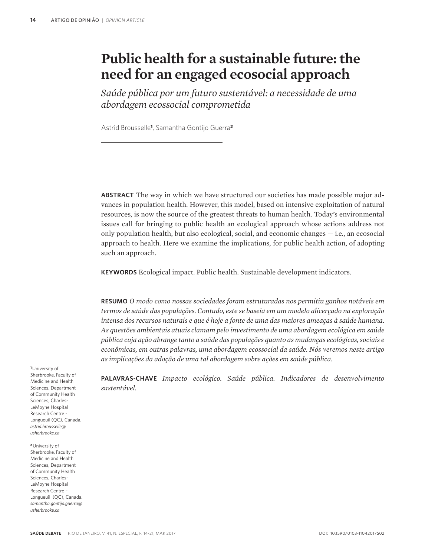# **Public health for a sustainable future: the need for an engaged ecosocial approach**

*Saúde pública por um futuro sustentável: a necessidade de uma abordagem ecossocial comprometida* 

Astrid Brousselle**1**, Samantha Gontijo Guerra**<sup>2</sup>**

**ABSTRACT** The way in which we have structured our societies has made possible major advances in population health. However, this model, based on intensive exploitation of natural resources, is now the source of the greatest threats to human health. Today's environmental issues call for bringing to public health an ecological approach whose actions address not only population health, but also ecological, social, and economic changes — i.e., an ecosocial approach to health. Here we examine the implications, for public health action, of adopting such an approach.

**KEYWORDS** Ecological impact. Public health. Sustainable development indicators.

**RESUMO** *O modo como nossas sociedades foram estruturadas nos permitiu ganhos notáveis em termos de saúde das populações. Contudo, este se baseia em um modelo alicerçado na exploração intensa dos recursos naturais e que é hoje a fonte de uma das maiores ameaças à saúde humana. As questões ambientais atuais clamam pelo investimento de uma abordagem ecológica em saúde pública cuja ação abrange tanto a saúde das populações quanto as mudanças ecológicas, sociais e econômicas, em outras palavras, uma abordagem ecossocial da saúde. Nós veremos neste artigo as implicações da adoção de uma tal abordagem sobre ações em saúde pública.*

**PALAVRAS-CHAVE** *Impacto ecológico. Saúde pública. Indicadores de desenvolvimento sustentável.*

**<sup>1</sup>**University of Sherbrooke, Faculty of Medicine and Health Sciences, Department of Community Health Sciences, Charles-LeMoyne Hospital Research Centre - Longueuil (QC), Canada. *astrid.brousselle@ usherbrooke.ca*

**<sup>2</sup>**University of Sherbrooke, Faculty of Medicine and Health Sciences, Department of Community Health Sciences, Charles-LeMoyne Hospital Research Centre – Longueuil (QC), Canada. *samantha.gontijo.guerra@ usherbrooke.ca*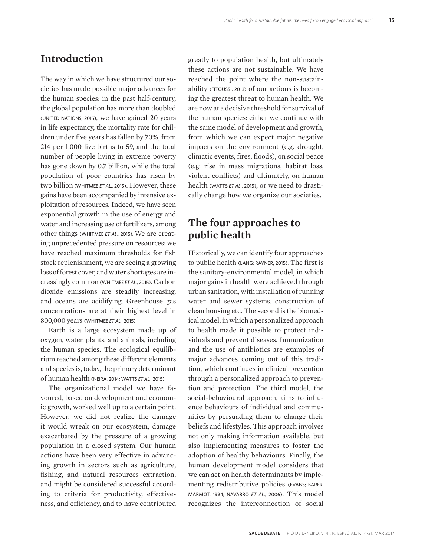## **Introduction**

The way in which we have structured our societies has made possible major advances for the human species: in the past half-century, the global population has more than doubled (UNITED NATIONS, 2015), we have gained 20 years in life expectancy, the mortality rate for children under five years has fallen by 70%, from 214 per 1,000 live births to 59, and the total number of people living in extreme poverty has gone down by 0.7 billion, while the total population of poor countries has risen by two billion (WHITMEE *ET AL*., 2015). However, these gains have been accompanied by intensive exploitation of resources. Indeed, we have seen exponential growth in the use of energy and water and increasing use of fertilizers, among other things (WHITMEE *ET AL.,* 2015). We are creating unprecedented pressure on resources: we have reached maximum thresholds for fish stock replenishment, we are seeing a growing loss of forest cover, and water shortages are increasingly common (WHITMEE *ET AL.*, 2015). Carbon dioxide emissions are steadily increasing, and oceans are acidifying. Greenhouse gas concentrations are at their highest level in 800,000 years (WHITMEE *ET AL.,* 2015).

Earth is a large ecosystem made up of oxygen, water, plants, and animals, including the human species. The ecological equilibrium reached among these different elements and species is, today, the primary determinant of human health (NEIRA, 2014; WATTS *ET AL.,* 2015).

The organizational model we have favoured, based on development and economic growth, worked well up to a certain point. However, we did not realize the damage it would wreak on our ecosystem, damage exacerbated by the pressure of a growing population in a closed system. Our human actions have been very effective in advancing growth in sectors such as agriculture, fishing, and natural resources extraction, and might be considered successful according to criteria for productivity, effectiveness, and efficiency, and to have contributed greatly to population health, but ultimately these actions are not sustainable. We have reached the point where the non-sustainability (FITOUSSI, 2013) of our actions is becoming the greatest threat to human health. We are now at a decisive threshold for survival of the human species: either we continue with the same model of development and growth, from which we can expect major negative impacts on the environment (e.g. drought, climatic events, fires, floods), on social peace (e.g. rise in mass migrations, habitat loss, violent conflicts) and ultimately, on human health (WATTS *ET AL*., 2015), or we need to drastically change how we organize our societies.

## **The four approaches to public health**

Historically, we can identify four approaches to public health (LANG; RAYNER, 2015). The first is the sanitary-environmental model, in which major gains in health were achieved through urban sanitation, with installation of running water and sewer systems, construction of clean housing etc. The second is the biomedical model, in which a personalized approach to health made it possible to protect individuals and prevent diseases. Immunization and the use of antibiotics are examples of major advances coming out of this tradition, which continues in clinical prevention through a personalized approach to prevention and protection. The third model, the social-behavioural approach, aims to influence behaviours of individual and communities by persuading them to change their beliefs and lifestyles. This approach involves not only making information available, but also implementing measures to foster the adoption of healthy behaviours. Finally, the human development model considers that we can act on health determinants by implementing redistributive policies (EVANS; BARER; MARMOT, 1994; NAVARRO *ET AL.,* 2006). This model recognizes the interconnection of social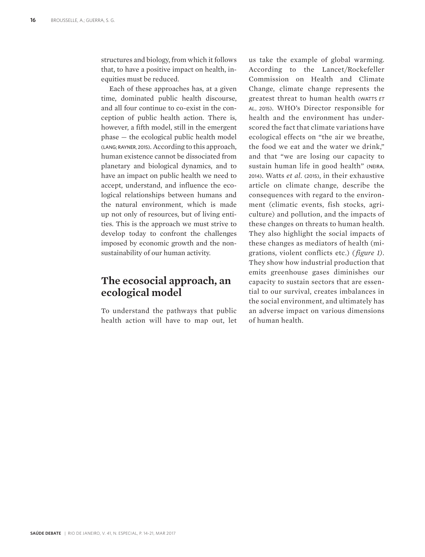structures and biology, from which it follows that, to have a positive impact on health, inequities must be reduced.

Each of these approaches has, at a given time, dominated public health discourse, and all four continue to co-exist in the conception of public health action. There is, however, a fifth model, still in the emergent phase — the ecological public health model (LANG; RAYNER, 2015). According to this approach, human existence cannot be dissociated from planetary and biological dynamics, and to have an impact on public health we need to accept, understand, and influence the ecological relationships between humans and the natural environment, which is made up not only of resources, but of living entities. This is the approach we must strive to develop today to confront the challenges imposed by economic growth and the nonsustainability of our human activity.

# **The ecosocial approach, an ecological model**

To understand the pathways that public health action will have to map out, let

us take the example of global warming. According to the Lancet/Rockefeller Commission on Health and Climate Change, climate change represents the greatest threat to human health (WATTS *ET AL.,* 2015). WHO's Director responsible for health and the environment has underscored the fact that climate variations have ecological effects on "the air we breathe, the food we eat and the water we drink," and that "we are losing our capacity to sustain human life in good health" (NEIRA, 2014). Watts *et al.* (2015), in their exhaustive article on climate change, describe the consequences with regard to the environment (climatic events, fish stocks, agriculture) and pollution, and the impacts of these changes on threats to human health. They also highlight the social impacts of these changes as mediators of health (migrations, violent conflicts etc.) *( figure 1).* They show how industrial production that emits greenhouse gases diminishes our capacity to sustain sectors that are essential to our survival, creates imbalances in the social environment, and ultimately has an adverse impact on various dimensions of human health.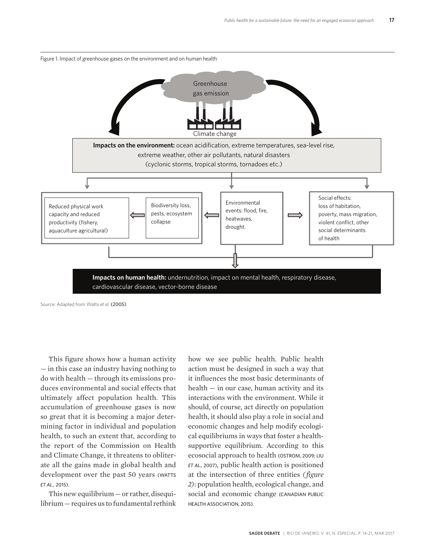

Source: Adapted from Watts *et al.* (2005).

This figure shows how a human activity — in this case an industry having nothing to do with health — through its emissions produces environmental and social effects that ultimately affect population health. This accumulation of greenhouse gases is now so great that it is becoming a major determining factor in individual and population health, to such an extent that, according to the report of the Commission on Health and Climate Change, it threatens to obliterate all the gains made in global health and development over the past 50 years (WATTS *ET AL.,* 2015).

This new equilibrium — or rather, disequilibrium — requires us to fundamental rethink

how we see public health. Public health action must be designed in such a way that it influences the most basic determinants of health — in our case, human activity and its interactions with the environment. While it should, of course, act directly on population health, it should also play a role in social and economic changes and help modify ecological equilibriums in ways that foster a healthsupportive equilibrium. According to this ecosocial approach to health (OSTROM, 2009; LIU *ET AL.,* 2007), public health action is positioned at the intersection of three entities *( figure 2)*: population health, ecological change, and social and economic change (CANADIAN PUBLIC HEALTH ASSOCIATION, 2015).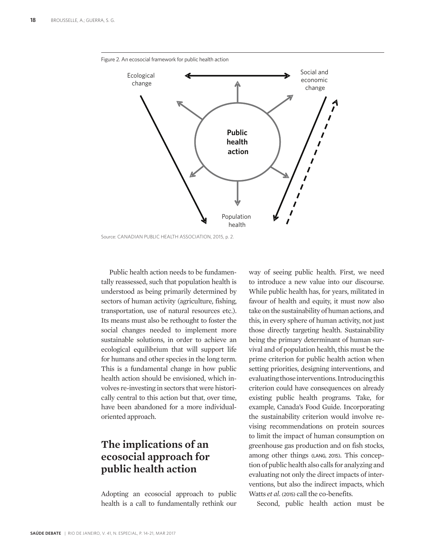



Source: CANADIAN PUBLIC HEALTH ASSOCIATION, 2015, p. 2.

Public health action needs to be fundamentally reassessed, such that population health is understood as being primarily determined by sectors of human activity (agriculture, fishing, transportation, use of natural resources etc.). Its means must also be rethought to foster the social changes needed to implement more sustainable solutions, in order to achieve an ecological equilibrium that will support life for humans and other species in the long term. This is a fundamental change in how public health action should be envisioned, which involves re-investing in sectors that were historically central to this action but that, over time, have been abandoned for a more individualoriented approach.

# **The implications of an ecosocial approach for public health action**

Adopting an ecosocial approach to public health is a call to fundamentally rethink our

way of seeing public health. First, we need to introduce a new value into our discourse. While public health has, for years, militated in favour of health and equity, it must now also take on the sustainability of human actions, and this, in every sphere of human activity, not just those directly targeting health. Sustainability being the primary determinant of human survival and of population health, this must be the prime criterion for public health action when setting priorities, designing interventions, and evaluating those interventions. Introducing this criterion could have consequences on already existing public health programs. Take, for example, Canada's Food Guide. Incorporating the sustainability criterion would involve revising recommendations on protein sources to limit the impact of human consumption on greenhouse gas production and on fish stocks, among other things (LANG, 2015). This conception of public health also calls for analyzing and evaluating not only the direct impacts of interventions, but also the indirect impacts, which Watts *et al.* (2015) call the co-benefits.

Second, public health action must be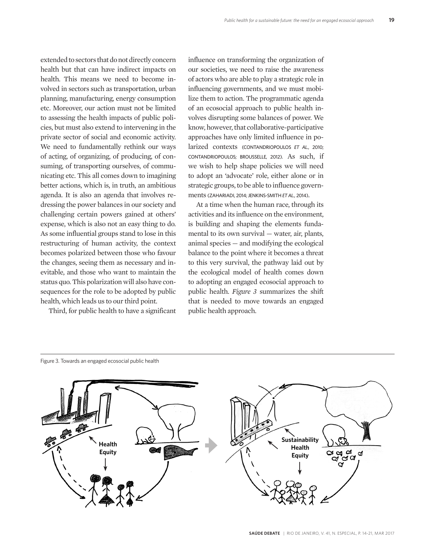extended to sectors that do not directly concern health but that can have indirect impacts on health. This means we need to become involved in sectors such as transportation, urban planning, manufacturing, energy consumption etc. Moreover, our action must not be limited to assessing the health impacts of public policies, but must also extend to intervening in the private sector of social and economic activity. We need to fundamentally rethink our ways of acting, of organizing, of producing, of consuming, of transporting ourselves, of communicating etc. This all comes down to imagining better actions, which is, in truth, an ambitious agenda. It is also an agenda that involves redressing the power balances in our society and challenging certain powers gained at others' expense, which is also not an easy thing to do. As some influential groups stand to lose in this restructuring of human activity, the context becomes polarized between those who favour the changes, seeing them as necessary and inevitable, and those who want to maintain the status quo. This polarization will also have consequences for the role to be adopted by public health, which leads us to our third point.

Third, for public health to have a significant

influence on transforming the organization of our societies, we need to raise the awareness of actors who are able to play a strategic role in influencing governments, and we must mobilize them to action. The programmatic agenda of an ecosocial approach to public health involves disrupting some balances of power. We know, however, that collaborative-participative approaches have only limited influence in polarized contexts (CONTANDRIOPOULOS *ET AL.,* 2010; CONTANDRIOPOULOS; BROUSSELLE, 2012). As such, if we wish to help shape policies we will need to adopt an 'advocate' role, either alone or in strategic groups, to be able to influence governments (ZAHARIADI, 2014; JENKINS-SMITH *ET AL.,* 2014).

At a time when the human race, through its activities and its influence on the environment, is building and shaping the elements fundamental to its own survival — water, air, plants, animal species — and modifying the ecological balance to the point where it becomes a threat to this very survival, the pathway laid out by the ecological model of health comes down to adopting an engaged ecosocial approach to public health. *Figure 3* summarizes the shift that is needed to move towards an engaged public health approach.

Figure 3. Towards an engaged ecosocial public health



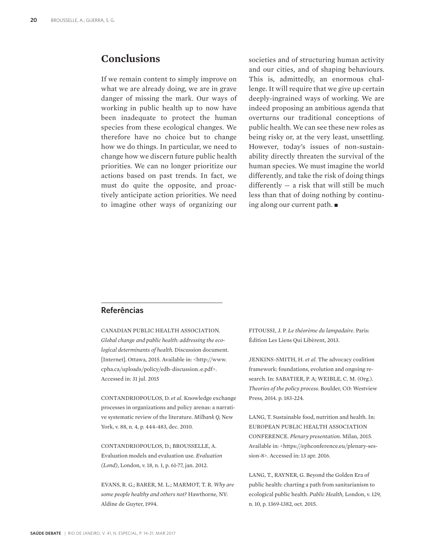#### **Conclusions**

If we remain content to simply improve on what we are already doing, we are in grave danger of missing the mark. Our ways of working in public health up to now have been inadequate to protect the human species from these ecological changes. We therefore have no choice but to change how we do things. In particular, we need to change how we discern future public health priorities. We can no longer prioritize our actions based on past trends. In fact, we must do quite the opposite, and proactively anticipate action priorities. We need to imagine other ways of organizing our

societies and of structuring human activity and our cities, and of shaping behaviours. This is, admittedly, an enormous challenge. It will require that we give up certain deeply-ingrained ways of working. We are indeed proposing an ambitious agenda that overturns our traditional conceptions of public health. We can see these new roles as being risky or, at the very least, unsettling. However, today's issues of non-sustainability directly threaten the survival of the human species. We must imagine the world differently, and take the risk of doing things differently — a risk that will still be much less than that of doing nothing by continuing along our current path.  $\blacksquare$ 

#### **Referências**

CANADIAN PUBLIC HEALTH ASSOCIATION. *Global change and public health: addressing the ecological determinants of health.* Discussion document. [Internet]. Ottawa, 2015. Available in: <http://www. cpha.ca/uploads/policy/edh-discussion\_e.pdf>. Accessed in: 31 jul. 2015

CONTANDRIOPOULOS, D. *et al.* Knowledge exchange processes in organizations and policy arenas: a narrative systematic review of the literature. *Milbank Q,* New York, v. 88, n. 4, p. 444-483, dec. 2010.

CONTANDRIOPOULOS, D.; BROUSSELLE, A. Evaluation models and evaluation use. *Evaluation (Lond),* London, v. 18, n. 1, p. 61-77, jan. 2012.

EVANS, R. G.; BARER, M. L.; MARMOT, T. R. *Why are some people healthy and others not?* Hawthorne, NY: Aldine de Guyter, 1994.

FITOUSSI, J. P. *Le théorème du lampadaire.* Paris: Édition Les Liens Qui Libèrent, 2013.

JENKINS-SMITH, H. *et al.* The advocacy coalition framework: foundations, evolution and ongoing research. In: SABATIER, P. A; WEIBLE, C. M. (Org.). *Theories of the policy process.* Boulder, CO: Westview Press, 2014. p. 183-224.

LANG, T. Sustainable food, nutrition and health. In: EUROPEAN PUBLIC HEALTH ASSOCIATION CONFERENCE. *Plenary presentation.* Milan, 2015. Available in: <https://ephconference.eu/plenary-session-8>. Accessed in: 13 apr. 2016.

LANG, T., RAYNER, G. Beyond the Golden Era of public health: charting a path from sanitarianism to ecological public health. *Public Health,* London, v. 129, n. 10, p. 1369-1382, oct. 2015.